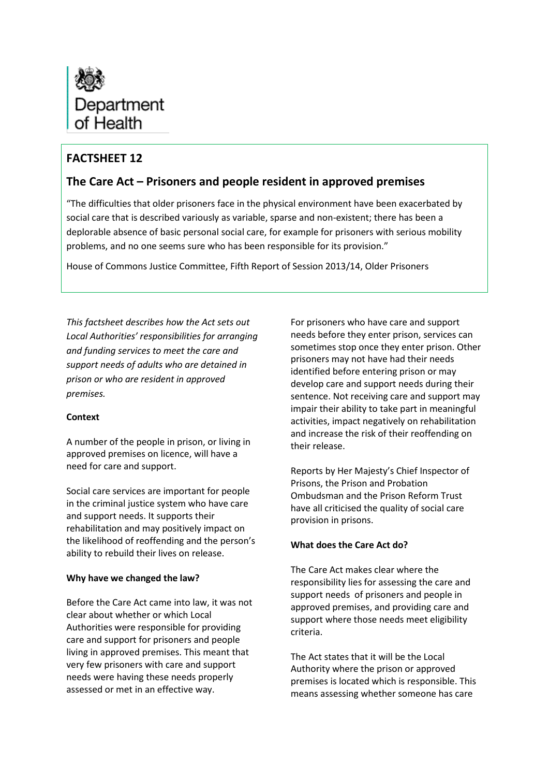

# **FACTSHEET 12**

## **The Care Act – Prisoners and people resident in approved premises**

"The difficulties that older prisoners face in the physical environment have been exacerbated by social care that is described variously as variable, sparse and non-existent; there has been a deplorable absence of basic personal social care, for example for prisoners with serious mobility problems, and no one seems sure who has been responsible for its provision."

House of Commons Justice Committee, Fifth Report of Session 2013/14, Older Prisoners

*This factsheet describes how the Act sets out Local Authorities' responsibilities for arranging and funding services to meet the care and support needs of adults who are detained in prison or who are resident in approved premises.* 

### **Context**

A number of the people in prison, or living in approved premises on licence, will have a need for care and support.

Social care services are important for people in the criminal justice system who have care and support needs. It supports their rehabilitation and may positively impact on the likelihood of reoffending and the person's ability to rebuild their lives on release.

### **Why have we changed the law?**

Before the Care Act came into law, it was not clear about whether or which Local Authorities were responsible for providing care and support for prisoners and people living in approved premises. This meant that very few prisoners with care and support needs were having these needs properly assessed or met in an effective way.

For prisoners who have care and support needs before they enter prison, services can sometimes stop once they enter prison. Other prisoners may not have had their needs identified before entering prison or may develop care and support needs during their sentence. Not receiving care and support may impair their ability to take part in meaningful activities, impact negatively on rehabilitation and increase the risk of their reoffending on their release.

Reports by Her Majesty's Chief Inspector of Prisons, the Prison and Probation Ombudsman and the Prison Reform Trust have all criticised the quality of social care provision in prisons.

### **What does the Care Act do?**

The Care Act makes clear where the responsibility lies for assessing the care and support needs of prisoners and people in approved premises, and providing care and support where those needs meet eligibility criteria.

The Act states that it will be the Local Authority where the prison or approved premises is located which is responsible. This means assessing whether someone has care